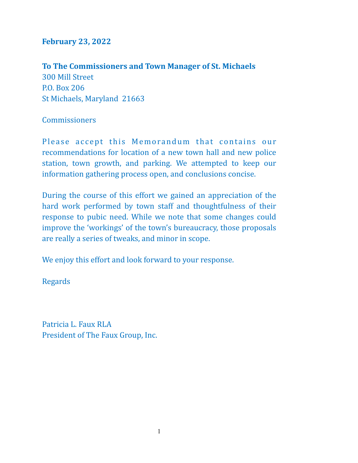## **February 23, 2022**

To The Commissioners and Town Manager of St. Michaels

300 Mill Street P.O. Box 206 St Michaels, Maryland 21663

# **Commissioners**

Please accept this Memorandum that contains our recommendations for location of a new town hall and new police station, town growth, and parking. We attempted to keep our information gathering process open, and conclusions concise.

During the course of this effort we gained an appreciation of the hard work performed by town staff and thoughtfulness of their response to pubic need. While we note that some changes could improve the 'workings' of the town's bureaucracy, those proposals are really a series of tweaks, and minor in scope.

We enjoy this effort and look forward to your response.

Regards 

Patricia L. Faux RLA President of The Faux Group, Inc.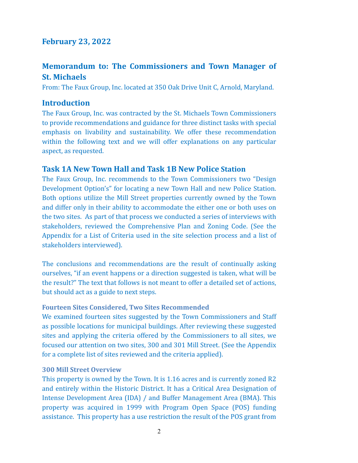### **February 23, 2022**

# **Memorandum to: The Commissioners and Town Manager of St. Michaels**

From: The Faux Group, Inc. located at 350 Oak Drive Unit C, Arnold, Maryland.

### **Introduction**

The Faux Group, Inc. was contracted by the St. Michaels Town Commissioners to provide recommendations and guidance for three distinct tasks with special emphasis on livability and sustainability. We offer these recommendation within the following text and we will offer explanations on any particular aspect, as requested.

### **Task 1A New Town Hall and Task 1B New Police Station**

The Faux Group, Inc. recommends to the Town Commissioners two "Design Development Option's" for locating a new Town Hall and new Police Station. Both options utilize the Mill Street properties currently owned by the Town and differ only in their ability to accommodate the either one or both uses on the two sites. As part of that process we conducted a series of interviews with stakeholders, reviewed the Comprehensive Plan and Zoning Code. (See the Appendix for a List of Criteria used in the site selection process and a list of stakeholders interviewed).

The conclusions and recommendations are the result of continually asking ourselves, "if an event happens or a direction suggested is taken, what will be the result?" The text that follows is not meant to offer a detailed set of actions, but should act as a guide to next steps.

#### **Fourteen Sites Considered, Two Sites Recommended**

We examined fourteen sites suggested by the Town Commissioners and Staff as possible locations for municipal buildings. After reviewing these suggested sites and applying the criteria offered by the Commissioners to all sites, we focused our attention on two sites, 300 and 301 Mill Street. (See the Appendix for a complete list of sites reviewed and the criteria applied).

#### **300 Mill Street Overview**

This property is owned by the Town. It is 1.16 acres and is currently zoned R2 and entirely within the Historic District. It has a Critical Area Designation of Intense Development Area (IDA) / and Buffer Management Area (BMA). This property was acquired in 1999 with Program Open Space (POS) funding assistance. This property has a use restriction the result of the POS grant from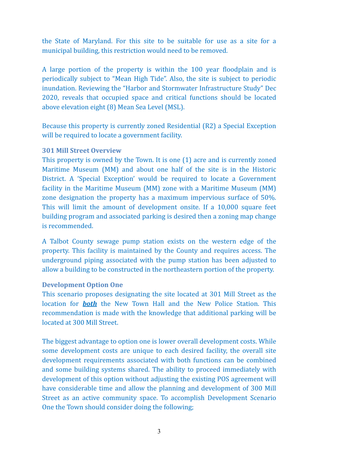the State of Maryland. For this site to be suitable for use as a site for a municipal building, this restriction would need to be removed.

A large portion of the property is within the 100 year floodplain and is periodically subject to "Mean High Tide". Also, the site is subject to periodic inundation. Reviewing the "Harbor and Stormwater Infrastructure Study" Dec 2020, reveals that occupied space and critical functions should be located above elevation eight (8) Mean Sea Level (MSL).

Because this property is currently zoned Residential (R2) a Special Exception will be required to locate a government facility.

#### **301 Mill Street Overview**

This property is owned by the Town. It is one  $(1)$  acre and is currently zoned Maritime Museum (MM) and about one half of the site is in the Historic District. A 'Special Exception' would be required to locate a Government facility in the Maritime Museum (MM) zone with a Maritime Museum (MM) zone designation the property has a maximum impervious surface of 50%. This will limit the amount of development onsite. If a  $10,000$  square feet building program and associated parking is desired then a zoning map change is recommended.

A Talbot County sewage pump station exists on the western edge of the property. This facility is maintained by the County and requires access. The underground piping associated with the pump station has been adjusted to allow a building to be constructed in the northeastern portion of the property.

#### **Development Option One**

This scenario proposes designating the site located at 301 Mill Street as the location for **both** the New Town Hall and the New Police Station. This recommendation is made with the knowledge that additional parking will be located at 300 Mill Street.

The biggest advantage to option one is lower overall development costs. While some development costs are unique to each desired facility, the overall site development requirements associated with both functions can be combined and some building systems shared. The ability to proceed immediately with development of this option without adjusting the existing POS agreement will have considerable time and allow the planning and development of 300 Mill Street as an active community space. To accomplish Development Scenario One the Town should consider doing the following;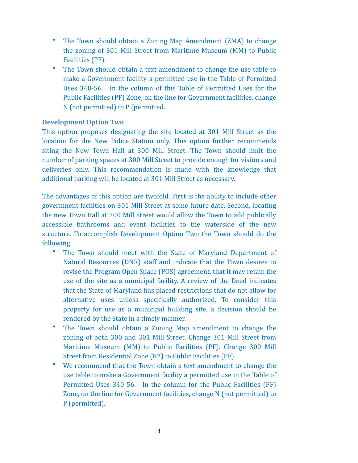- The Town should obtain a Zoning Map Amendment (ZMA) to change the zoning of 301 Mill Street from Maritime Museum (MM) to Public Facilities (PF).
- The Town should obtain a text amendment to change the use table to make a Government facility a permitted use in the Table of Permitted Uses 340-56. In the column of this Table of Permitted Uses for the Public Facilities (PF) Zone, on the line for Government facilities, change N (not permitted) to P (permitted.

#### **Development Option Two**

This option proposes designating the site located at 301 Mill Street as the location for the New Police Station only. This option further recommends siting the New Town Hall at 300 Mill Street. The Town should limit the number of parking spaces at 300 Mill Street to provide enough for visitors and deliveries only. This recommendation is made with the knowledge that additional parking will be located at 301 Mill Street as necessary.

The advantages of this option are twofold. First is the ability to include other government facilities on 301 Mill Street at some future date. Second, locating the new Town Hall at 300 Mill Street would allow the Town to add publically accessible bathrooms and event facilities to the waterside of the new structure. To accomplish Development Option Two the Town should do the following; 

- The Town should meet with the State of Maryland Department of Natural Resources (DNR) staff and indicate that the Town desires to revise the Program Open Space (POS) agreement, that it may retain the use of the site as a municipal facility. A review of the Deed indicates that the State of Maryland has placed restrictions that do not allow for alternative uses unless specifically authorized. To consider this property for use as a municipal building site, a decision should be rendered by the State in a timely manner.
- The Town should obtain a Zoning Map amendment to change the zoning of both 300 and 301 Mill Street. Change 301 Mill Street from Maritime Museum (MM) to Public Facilities (PF). Change 300 Mill Street from Residential Zone (R2) to Public Facilities (PF).
- We recommend that the Town obtain a text amendment to change the use table to make a Government facility a permitted use in the Table of Permitted Uses 340-56. In the column for the Public Facilities (PF) Zone, on the line for Government facilities, change N (not permitted) to P (permitted).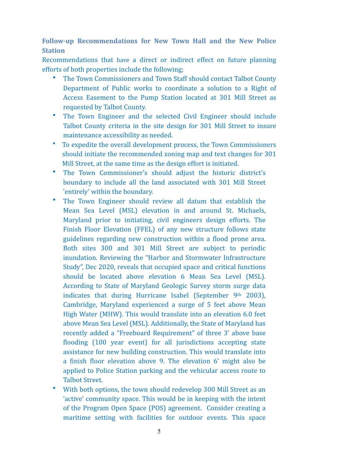Follow-up Recommendations for New Town Hall and the New Police **Station** 

Recommendations that have a direct or indirect effect on future planning efforts of both properties include the following;

- The Town Commissioners and Town Staff should contact Talbot County Department of Public works to coordinate a solution to a Right of Access Easement to the Pump Station located at 301 Mill Street as requested by Talbot County.
- The Town Engineer and the selected Civil Engineer should include Talbot County criteria in the site design for 301 Mill Street to insure maintenance accessibility as needed.
- To expedite the overall development process, the Town Commissioners should initiate the recommended zoning map and text changes for 301 Mill Street, at the same time as the design effort is initiated.
- The Town Commissioner's should adjust the historic district's boundary to include all the land associated with 301 Mill Street 'entirely' within the boundary.
- The Town Engineer should review all datum that establish the Mean Sea Level (MSL) elevation in and around St. Michaels, Maryland prior to initiating, civil engineers design efforts. The Finish Floor Elevation (FFEL) of any new structure follows state guidelines regarding new construction within a flood prone area. Both sites 300 and 301 Mill Street are subject to periodic inundation. Reviewing the "Harbor and Stormwater Infrastructure Study", Dec 2020, reveals that occupied space and critical functions should be located above elevation 6 Mean Sea Level (MSL). According to State of Maryland Geologic Survey storm surge data indicates that during Hurricane Isabel (September  $9<sup>th</sup>$  2003), Cambridge, Maryland experienced a surge of 5 feet above Mean High Water (MHW). This would translate into an elevation 6.0 feet above Mean Sea Level (MSL). Additionally, the State of Maryland has recently added a "Freeboard Requirement" of three 3' above base flooding (100 year event) for all jurisdictions accepting state assistance for new building construction. This would translate into a finish floor elevation above 9. The elevation 6' might also be applied to Police Station parking and the vehicular access route to Talbot Street.
- With both options, the town should redevelop 300 Mill Street as an 'active' community space. This would be in keeping with the intent of the Program Open Space (POS) agreement. Consider creating a maritime setting with facilities for outdoor events. This space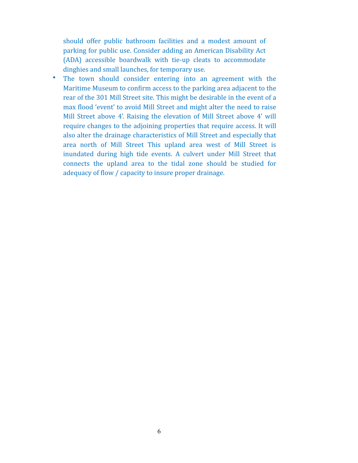should offer public bathroom facilities and a modest amount of parking for public use. Consider adding an American Disability Act (ADA) accessible boardwalk with tie-up cleats to accommodate dinghies and small launches, for temporary use.

• The town should consider entering into an agreement with the Maritime Museum to confirm access to the parking area adjacent to the rear of the 301 Mill Street site. This might be desirable in the event of a max flood 'event' to avoid Mill Street and might alter the need to raise Mill Street above 4'. Raising the elevation of Mill Street above 4' will require changes to the adjoining properties that require access. It will also alter the drainage characteristics of Mill Street and especially that area north of Mill Street This upland area west of Mill Street is inundated during high tide events. A culvert under Mill Street that connects the upland area to the tidal zone should be studied for adequacy of flow / capacity to insure proper drainage.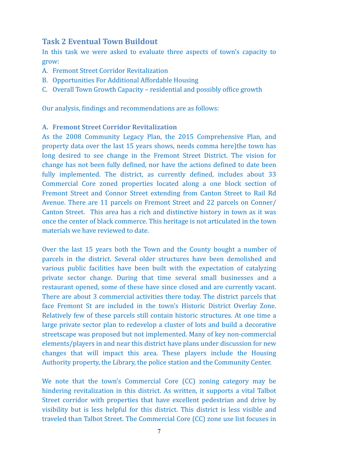### **Task 2 Eventual Town Buildout**

In this task we were asked to evaluate three aspects of town's capacity to grow: 

- A. Fremont Street Corridor Revitalization
- B. Opportunities For Additional Affordable Housing
- C. Overall Town Growth Capacity residential and possibly office growth

Our analysis, findings and recommendations are as follows:

#### **A. Fremont Street Corridor Revitalization**

As the 2008 Community Legacy Plan, the 2015 Comprehensive Plan, and property data over the last 15 years shows, needs comma here)the town has long desired to see change in the Fremont Street District. The vision for change has not been fully defined, nor have the actions defined to date been fully implemented. The district, as currently defined, includes about 33 Commercial Core zoned properties located along a one block section of Fremont Street and Connor Street extending from Canton Street to Rail Rd Avenue. There are 11 parcels on Fremont Street and 22 parcels on Conner/ Canton Street. This area has a rich and distinctive history in town as it was once the center of black commerce. This heritage is not articulated in the town materials we have reviewed to date.

Over the last 15 years both the Town and the County bought a number of parcels in the district. Several older structures have been demolished and various public facilities have been built with the expectation of catalyzing private sector change. During that time several small businesses and a restaurant opened, some of these have since closed and are currently vacant. There are about 3 commercial activities there today. The district parcels that face Fremont St are included in the town's Historic District Overlay Zone. Relatively few of these parcels still contain historic structures. At one time a large private sector plan to redevelop a cluster of lots and build a decorative streetscape was proposed but not implemented. Many of key non-commercial elements/players in and near this district have plans under discussion for new changes that will impact this area. These players include the Housing Authority property, the Library, the police station and the Community Center.

We note that the town's Commercial Core (CC) zoning category may be hindering revitalization in this district. As written, it supports a vital Talbot Street corridor with properties that have excellent pedestrian and drive by visibility but is less helpful for this district. This district is less visible and traveled than Talbot Street. The Commercial Core (CC) zone use list focuses in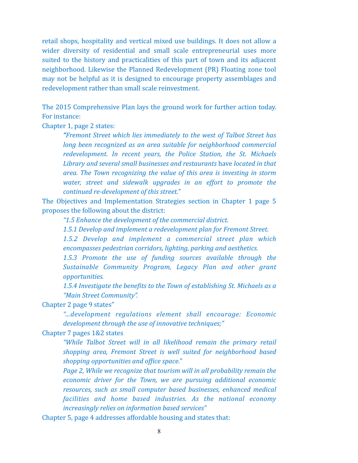retail shops, hospitality and vertical mixed use buildings. It does not allow a wider diversity of residential and small scale entrepreneurial uses more suited to the history and practicalities of this part of town and its adjacent neighborhood. Likewise the Planned Redevelopment (PR) Floating zone tool may not be helpful as it is designed to encourage property assemblages and redevelopment rather than small scale reinvestment.

The 2015 Comprehensive Plan lays the ground work for further action today. For instance:

Chapter 1, page 2 states:

*"Fremont Street which lies immediately to the west of Talbot Street has long been recognized as an area suitable for neighborhood commercial* redevelopment. In recent years, the Police Station, the St. Michaels Library and several small businesses and restaurants have located in that area. The Town recognizing the value of this area is investing in storm water, street and sidewalk upgrades in an effort to promote the *continued re-development of this street."* 

The Objectives and Implementation Strategies section in Chapter 1 page 5 proposes the following about the district:

"1.5 Enhance the development of the commercial district.

1.5.1 Develop and *implement a redevelopment plan for Fremont Street.* 

*1.5.2 Develop and implement a commercial street plan which*  encompasses pedestrian corridors, *lighting, parking and aesthetics.* 

1.5.3 Promote the use of funding sources available through the Sustainable Community Program, Legacy Plan and other grant *opportunities.* 

1.5.4 Investigate the benefits to the Town of establishing St. Michaels as a *"Main Street Community".* 

Chapter 2 page 9 states"

*"…development regulations element shall encourage: Economic development through the use of innovative techniques;"* 

Chapter 7 pages 1&2 states

*"While Talbot Street will in all likelihood remain the primary retail shopping area, Fremont Street is well suited for neighborhood based shopping opportunities and office space."* 

*Page 2, While we recognize that tourism will in all probability remain the economic driver for the Town, we are pursuing additional economic resources, such as small computer based businesses, enhanced medical facilities* and *home based industries.* As the national economy *increasingly relies on information based services"* 

Chapter 5, page 4 addresses affordable housing and states that: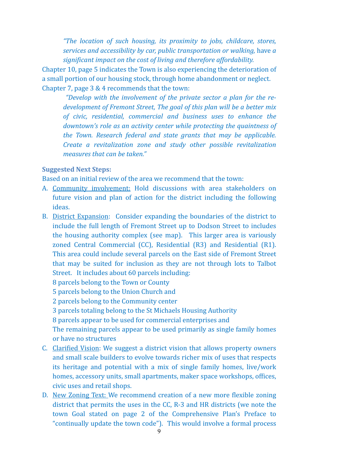*"The location of such housing, its proximity to jobs, childcare, stores, services and accessibility by car, public transportation or walking, have a* significant impact on the cost of living and therefore affordability.

Chapter 10, page 5 indicates the Town is also experiencing the deterioration of a small portion of our housing stock, through home abandonment or neglect. Chapter 7, page  $3 & 4$  recommends that the town:

"Develop with the *involvement of the private sector a plan for the redevelopment of Fremont Street, The goal of this plan will be a better mix* of civic, residential, commercial and business uses to enhance the *downtown's role as an activity center while protecting the quaintness of the Town. Research federal and state grants that may be applicable. Create a revitalization zone and study other possible revitalization measures that can be taken."* 

#### **Suggested Next Steps:**

Based on an initial review of the area we recommend that the town:

- A. Community involvement: Hold discussions with area stakeholders on future vision and plan of action for the district including the following ideas.
- B. District Expansion: Consider expanding the boundaries of the district to include the full length of Fremont Street up to Dodson Street to includes the housing authority complex (see map). This larger area is variously zoned Central Commercial (CC), Residential (R3) and Residential (R1). This area could include several parcels on the East side of Fremont Street that may be suited for inclusion as they are not through lots to Talbot Street. It includes about 60 parcels including:
	- 8 parcels belong to the Town or County
	- 5 parcels belong to the Union Church and
	- 2 parcels belong to the Community center
	- 3 parcels totaling belong to the St Michaels Housing Authority
	- 8 parcels appear to be used for commercial enterprises and

The remaining parcels appear to be used primarily as single family homes or have no structures

- C. Clarified Vision: We suggest a district vision that allows property owners and small scale builders to evolve towards richer mix of uses that respects its heritage and potential with a mix of single family homes, live/work homes, accessory units, small apartments, maker space workshops, offices, civic uses and retail shops.
- D. New Zoning Text: We recommend creation of a new more flexible zoning district that permits the uses in the  $CC$ , R-3 and HR districts (we note the town Goal stated on page 2 of the Comprehensive Plan's Preface to "continually update the town code"). This would involve a formal process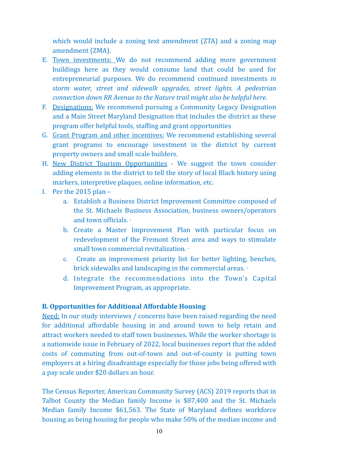which would include a zoning text amendment (ZTA) and a zoning map amendment (ZMA).

- E. Town investments: We do not recommend adding more government buildings here as they would consume land that could be used for entrepreneurial purposes. We do recommend continued investments *in storm water, street and sidewalk upgrades, street lights. A pedestrian connection down RR Avenue to the Nature trail might also be helpful here.*
- F. Designations: We recommend pursuing a Community Legacy Designation and a Main Street Maryland Designation that includes the district as these program offer helpful tools, staffing and grant opportunities
- G. Grant Program and other incentives: We recommend establishing several grant programs to encourage investment in the district by current property owners and small scale builders.
- H. New District Tourism Opportunities We suggest the town consider adding elements in the district to tell the story of local Black history using markers, interpretive plaques, online information, etc.
- I. Per the  $2015$  plan
	- a. Establish a Business District Improvement Committee composed of the St. Michaels Business Association, business owners/operators and town officials.  $\cdot$
	- b. Create a Master Improvement Plan with particular focus on redevelopment of the Fremont Street area and ways to stimulate small town commercial revitalization.  $\cdot$
	- c. Create an improvement priority list for better lighting, benches, brick sidewalks and landscaping in the commercial areas. ⋅
	- d. Integrate the recommendations into the Town's Capital Improvement Program, as appropriate.

#### **B. Opportunities for Additional Affordable Housing**

Need: In our study interviews / concerns have been raised regarding the need for additional affordable housing in and around town to help retain and attract workers needed to staff town businesses. While the worker shortage is a nationwide issue in February of 2022, local businesses report that the added costs of commuting from out-of-town and out-of-county is putting town employers at a hiring disadvantage especially for those jobs being offered with a pay scale under \$20 dollars an hour.

The Census Reporter, American Community Survey (ACS) 2019 reports that in Talbot County the Median family Income is \$87,400 and the St. Michaels Median family Income \$61,563. The State of Maryland defines workforce housing as being housing for people who make 50% of the median income and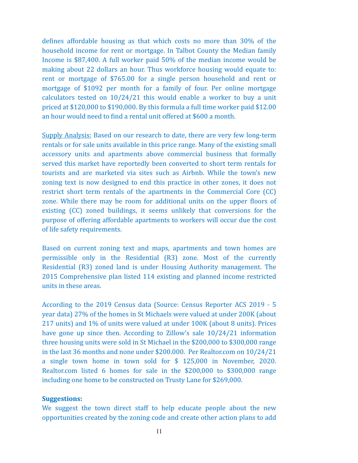defines affordable housing as that which costs no more than 30% of the household income for rent or mortgage. In Talbot County the Median family Income is  $$87,400$ . A full worker paid  $50\%$  of the median income would be making about 22 dollars an hour. Thus workforce housing would equate to: rent or mortgage of \$765.00 for a single person household and rent or mortgage of \$1092 per month for a family of four. Per online mortgage calculators tested on  $10/24/21$  this would enable a worker to buy a unit priced at  $$120,000$  to  $$190,000$ . By this formula a full time worker paid  $$12.00$ an hour would need to find a rental unit offered at \$600 a month.

Supply Analysis: Based on our research to date, there are very few long-term rentals or for sale units available in this price range. Many of the existing small accessory units and apartments above commercial business that formally served this market have reportedly been converted to short term rentals for tourists and are marketed via sites such as Airbnb. While the town's new zoning text is now designed to end this practice in other zones, it does not restrict short term rentals of the apartments in the Commercial Core  $(CC)$ zone. While there may be room for additional units on the upper floors of existing (CC) zoned buildings, it seems unlikely that conversions for the purpose of offering affordable apartments to workers will occur due the cost of life safety requirements.

Based on current zoning text and maps, apartments and town homes are permissible only in the Residential  $(R3)$  zone. Most of the currently Residential (R3) zoned land is under Housing Authority management. The 2015 Comprehensive plan listed 114 existing and planned income restricted units in these areas.

According to the 2019 Census data (Source: Census Reporter ACS 2019 - 5 year data) 27% of the homes in St Michaels were valued at under 200K (about 217 units) and 1% of units were valued at under 100K (about 8 units). Prices have gone up since then. According to Zillow's sale  $10/24/21$  information three housing units were sold in St Michael in the  $$200,000$  to  $$300,000$  range in the last 36 months and none under \$200.000. Per Realtor.com on  $10/24/21$ a single town home in town sold for \$ 125,000 in November, 2020. Realtor.com listed 6 homes for sale in the  $$200,000$  to  $$300,000$  range including one home to be constructed on Trusty Lane for \$269,000.

#### **Suggestions:**

We suggest the town direct staff to help educate people about the new opportunities created by the zoning code and create other action plans to add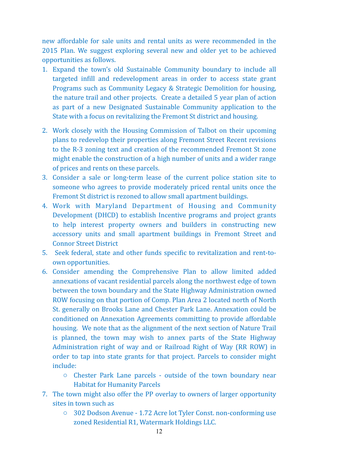new affordable for sale units and rental units as were recommended in the 2015 Plan. We suggest exploring several new and older yet to be achieved opportunities as follows.

- 1. Expand the town's old Sustainable Community boundary to include all targeted infill and redevelopment areas in order to access state grant Programs such as Community Legacy & Strategic Demolition for housing, the nature trail and other projects. Create a detailed 5 year plan of action as part of a new Designated Sustainable Community application to the State with a focus on revitalizing the Fremont St district and housing.
- 2. Work closely with the Housing Commission of Talbot on their upcoming plans to redevelop their properties along Fremont Street Recent revisions to the R-3 zoning text and creation of the recommended Fremont St zone might enable the construction of a high number of units and a wider range of prices and rents on these parcels.
- 3. Consider a sale or long-term lease of the current police station site to someone who agrees to provide moderately priced rental units once the Fremont St district is rezoned to allow small apartment buildings.
- 4. Work with Maryland Department of Housing and Community Development (DHCD) to establish Incentive programs and project grants to help interest property owners and builders in constructing new accessory units and small apartment buildings in Fremont Street and **Connor Street District**
- 5. Seek federal, state and other funds specific to revitalization and rent-toown opportunities.
- 6. Consider amending the Comprehensive Plan to allow limited added annexations of vacant residential parcels along the northwest edge of town between the town boundary and the State Highway Administration owned ROW focusing on that portion of Comp. Plan Area 2 located north of North St. generally on Brooks Lane and Chester Park Lane. Annexation could be conditioned on Annexation Agreements committing to provide affordable housing. We note that as the alignment of the next section of Nature Trail is planned, the town may wish to annex parts of the State Highway Administration right of way and or Railroad Right of Way (RR ROW) in order to tap into state grants for that project. Parcels to consider might include:
	- $\circ$  Chester Park Lane parcels outside of the town boundary near **Habitat for Humanity Parcels**
- 7. The town might also offer the PP overlay to owners of larger opportunity sites in town such as
	- $\circ$  302 Dodson Avenue 1.72 Acre lot Tyler Const. non-conforming use zoned Residential R1, Watermark Holdings LLC.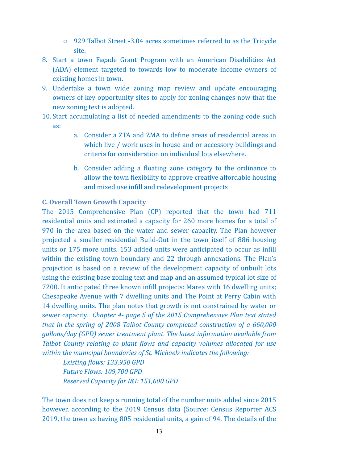- $\circ$  929 Talbot Street -3.04 acres sometimes referred to as the Tricycle site.
- 8. Start a town Facade Grant Program with an American Disabilities Act (ADA) element targeted to towards low to moderate income owners of existing homes in town.
- 9. Undertake a town wide zoning map review and update encouraging owners of key opportunity sites to apply for zoning changes now that the new zoning text is adopted.
- 10. Start accumulating a list of needed amendments to the zoning code such as:
	- a. Consider a ZTA and ZMA to define areas of residential areas in which live / work uses in house and or accessory buildings and criteria for consideration on individual lots elsewhere.
	- b. Consider adding a floating zone category to the ordinance to allow the town flexibility to approve creative affordable housing and mixed use infill and redevelopment projects

#### **C. Overall Town Growth Capacity**

The 2015 Comprehensive Plan (CP) reported that the town had 711 residential units and estimated a capacity for 260 more homes for a total of 970 in the area based on the water and sewer capacity. The Plan however projected a smaller residential Build-Out in the town itself of 886 housing units or 175 more units. 153 added units were anticipated to occur as infill within the existing town boundary and 22 through annexations. The Plan's projection is based on a review of the development capacity of unbuilt lots using the existing base zoning text and map and an assumed typical lot size of 7200. It anticipated three known infill projects: Marea with 16 dwelling units; Chesapeake Avenue with 7 dwelling units and The Point at Perry Cabin with 14 dwelling units. The plan notes that growth is not constrained by water or sewer capacity. *Chapter 4- page 5 of the 2015 Comprehensive Plan text stated that in the spring of 2008 Talbot County completed construction of a 660,000 gallons/day* (GPD) sewer treatment plant. The latest information available from *Talbot County relating to plant flows and capacity volumes allocated for use* within the municipal boundaries of St. Michaels indicates the following:

**Existing flows: 133,950 GPD** *Future Flows: 109,700 GPD Reserved Capacity for I&I: 151,600 GPD* 

The town does not keep a running total of the number units added since 2015 however, according to the 2019 Census data (Source: Census Reporter ACS 2019, the town as having 805 residential units, a gain of 94. The details of the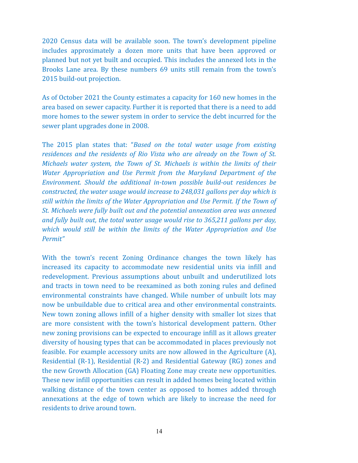2020 Census data will be available soon. The town's development pipeline includes approximately a dozen more units that have been approved or planned but not yet built and occupied. This includes the annexed lots in the Brooks Lane area. By these numbers 69 units still remain from the town's 2015 build-out projection.

As of October 2021 the County estimates a capacity for 160 new homes in the area based on sewer capacity. Further it is reported that there is a need to add more homes to the sewer system in order to service the debt incurred for the sewer plant upgrades done in 2008.

The 2015 plan states that: "*Based on the total water usage from existing residences and the residents of Rio Vista who are already on the Town of St. Michaels water system, the Town of St. Michaels is within the limits of their Water Appropriation and Use Permit from the Maryland Department of the Environment.* Should the additional in-town possible build-out residences be *constructed, the water usage would increase to 248,031 gallons per day which is still within the limits of the Water Appropriation and Use Permit. If the Town of St. Michaels were fully built out and the potential annexation area was annexed and fully built out, the total water usage would rise to 365,211 gallons per day, which* would still be within the limits of the Water Appropriation and Use *Permit"* 

With the town's recent Zoning Ordinance changes the town likely has increased its capacity to accommodate new residential units via infill and redevelopment. Previous assumptions about unbuilt and underutilized lots and tracts in town need to be reexamined as both zoning rules and defined environmental constraints have changed. While number of unbuilt lots may now be unbuildable due to critical area and other environmental constraints. New town zoning allows infill of a higher density with smaller lot sizes that are more consistent with the town's historical development pattern. Other new zoning provisions can be expected to encourage infill as it allows greater diversity of housing types that can be accommodated in places previously not feasible. For example accessory units are now allowed in the Agriculture (A), Residential  $(R-1)$ , Residential  $(R-2)$  and Residential Gateway  $(RG)$  zones and the new Growth Allocation (GA) Floating Zone may create new opportunities. These new infill opportunities can result in added homes being located within walking distance of the town center as opposed to homes added through annexations at the edge of town which are likely to increase the need for residents to drive around town.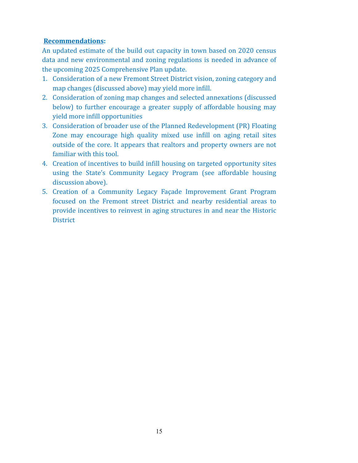#### **Recommendations:**

An updated estimate of the build out capacity in town based on 2020 census data and new environmental and zoning regulations is needed in advance of the upcoming 2025 Comprehensive Plan update.

- 1. Consideration of a new Fremont Street District vision, zoning category and map changes (discussed above) may yield more infill.
- 2. Consideration of zoning map changes and selected annexations (discussed below) to further encourage a greater supply of affordable housing may yield more infill opportunities
- 3. Consideration of broader use of the Planned Redevelopment (PR) Floating Zone may encourage high quality mixed use infill on aging retail sites outside of the core. It appears that realtors and property owners are not familiar with this tool.
- 4. Creation of incentives to build infill housing on targeted opportunity sites using the State's Community Legacy Program (see affordable housing discussion above).
- 5. Creation of a Community Legacy Façade Improvement Grant Program focused on the Fremont street District and nearby residential areas to provide incentives to reinvest in aging structures in and near the Historic **District**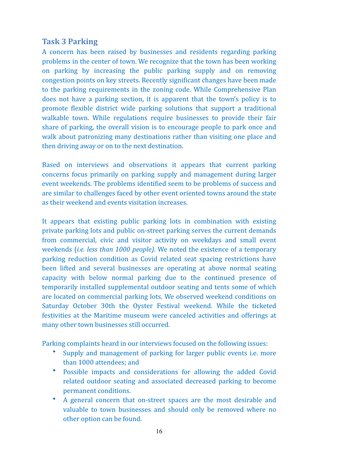# **Task 3 Parking**

A concern has been raised by businesses and residents regarding parking problems in the center of town. We recognize that the town has been working on parking by increasing the public parking supply and on removing congestion points on key streets. Recently significant changes have been made to the parking requirements in the zoning code. While Comprehensive Plan does not have a parking section, it is apparent that the town's policy is to promote flexible district wide parking solutions that support a traditional walkable town. While regulations require businesses to provide their fair share of parking, the overall vision is to encourage people to park once and walk about patronizing many destinations rather than visiting one place and then driving away or on to the next destination.

Based on interviews and observations it appears that current parking concerns focus primarily on parking supply and management during larger event weekends. The problems identified seem to be problems of success and are similar to challenges faced by other event oriented towns around the state as their weekend and events visitation increases.

It appears that existing public parking lots in combination with existing private parking lots and public on-street parking serves the current demands from commercial, civic and visitor activity on weekdays and small event weekends *(i.e. less than 1000 people)*. We noted the existence of a temporary parking reduction condition as Covid related seat spacing restrictions have been lifted and several businesses are operating at above normal seating capacity with below normal parking due to the continued presence of temporarily installed supplemental outdoor seating and tents some of which are located on commercial parking lots. We observed weekend conditions on Saturday October 30th the Oyster Festival weekend. While the ticketed festivities at the Maritime museum were canceled activities and offerings at many other town businesses still occurred.

Parking complaints heard in our interviews focused on the following issues:

- Supply and management of parking for larger public events *i.e.* more than 1000 attendees; and
- Possible impacts and considerations for allowing the added Covid related outdoor seating and associated decreased parking to become permanent conditions.
- A general concern that on-street spaces are the most desirable and valuable to town businesses and should only be removed where no other option can be found.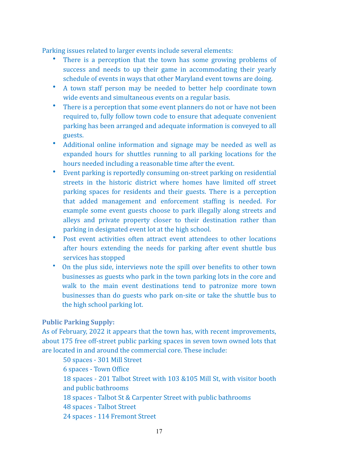Parking issues related to larger events include several elements:

- There is a perception that the town has some growing problems of success and needs to up their game in accommodating their yearly schedule of events in ways that other Maryland event towns are doing.
- A town staff person may be needed to better help coordinate town wide events and simultaneous events on a regular basis.
- There is a perception that some event planners do not or have not been required to, fully follow town code to ensure that adequate convenient parking has been arranged and adequate information is conveyed to all guests.
- Additional online information and signage may be needed as well as expanded hours for shuttles running to all parking locations for the hours needed including a reasonable time after the event.
- Event parking is reportedly consuming on-street parking on residential streets in the historic district where homes have limited off street parking spaces for residents and their guests. There is a perception that added management and enforcement staffing is needed. For example some event guests choose to park illegally along streets and alleys and private property closer to their destination rather than parking in designated event lot at the high school.
- Post event activities often attract event attendees to other locations after hours extending the needs for parking after event shuttle bus services has stopped
- On the plus side, interviews note the spill over benefits to other town businesses as guests who park in the town parking lots in the core and walk to the main event destinations tend to patronize more town businesses than do guests who park on-site or take the shuttle bus to the high school parking lot.

#### **Public Parking Supply:**

As of February, 2022 it appears that the town has, with recent improvements, about 175 free off-street public parking spaces in seven town owned lots that are located in and around the commercial core. These include:

50 spaces - 301 Mill Street **6** spaces - Town Office 18 spaces - 201 Talbot Street with 103 &105 Mill St, with visitor booth and public bathrooms 18 spaces - Talbot St & Carpenter Street with public bathrooms 48 spaces - Talbot Street 24 spaces - 114 Fremont Street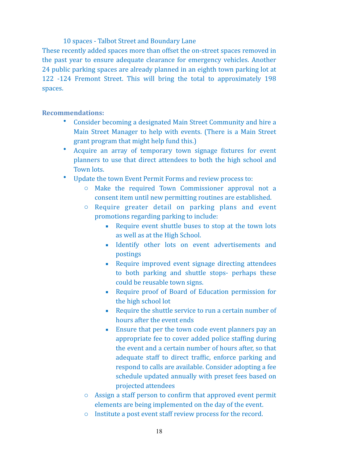10 spaces - Talbot Street and Boundary Lane

These recently added spaces more than offset the on-street spaces removed in the past year to ensure adequate clearance for emergency vehicles. Another 24 public parking spaces are already planned in an eighth town parking lot at 122 -124 Fremont Street. This will bring the total to approximately 198 spaces. 

**Recommendations:** 

- Consider becoming a designated Main Street Community and hire a Main Street Manager to help with events. (There is a Main Street grant program that might help fund this.)
- Acquire an array of temporary town signage fixtures for event planners to use that direct attendees to both the high school and Town lots.
- Update the town Event Permit Forms and review process to:
	- $\circ$  Make the required Town Commissioner approval not a consent item until new permitting routines are established.
	- $\circ$  Require greater detail on parking plans and event promotions regarding parking to include:
		- Require event shuttle buses to stop at the town lots as well as at the High School.
		- **Example 1** Identify other lots on event advertisements and postings
		- Require improved event signage directing attendees to both parking and shuttle stops- perhaps these could be reusable town signs.
		- Require proof of Board of Education permission for the high school lot
		- Require the shuttle service to run a certain number of hours after the event ends
		- Ensure that per the town code event planners pay an appropriate fee to cover added police staffing during the event and a certain number of hours after, so that adequate staff to direct traffic, enforce parking and respond to calls are available. Consider adopting a fee schedule updated annually with preset fees based on projected attendees
	- $\circ$  Assign a staff person to confirm that approved event permit elements are being implemented on the day of the event.
	- $\circ$  Institute a post event staff review process for the record.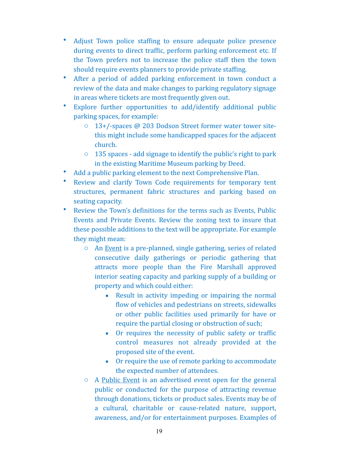- Adjust Town police staffing to ensure adequate police presence during events to direct traffic, perform parking enforcement etc. If the Town prefers not to increase the police staff then the town should require events planners to provide private staffing.
- After a period of added parking enforcement in town conduct a review of the data and make changes to parking regulatory signage in areas where tickets are most frequently given out.
- Explore further opportunities to add/identify additional public parking spaces, for example:
	- $\circ$  13+/-spaces @ 203 Dodson Street former water tower sitethis might include some handicapped spaces for the adjacent church.
	- $\circ$  135 spaces add signage to identify the public's right to park in the existing Maritime Museum parking by Deed.
- Add a public parking element to the next Comprehensive Plan.
- Review and clarify Town Code requirements for temporary tent structures, permanent fabric structures and parking based on seating capacity.
- Review the Town's definitions for the terms such as Events, Public Events and Private Events. Review the zoning text to insure that these possible additions to the text will be appropriate. For example they might mean:
	- $\circ$  An Event is a pre-planned, single gathering, series of related consecutive daily gatherings or periodic gathering that attracts more people than the Fire Marshall approved interior seating capacity and parking supply of a building or property and which could either:
		- Result in activity impeding or impairing the normal flow of vehicles and pedestrians on streets, sidewalks or other public facilities used primarily for have or require the partial closing or obstruction of such;
		- Or requires the necessity of public safety or traffic control measures not already provided at the proposed site of the event.
		- Or require the use of remote parking to accommodate the expected number of attendees.
	- $\circ$  A Public Event is an advertised event open for the general public or conducted for the purpose of attracting revenue through donations, tickets or product sales. Events may be of a cultural, charitable or cause-related nature, support, awareness, and/or for entertainment purposes. Examples of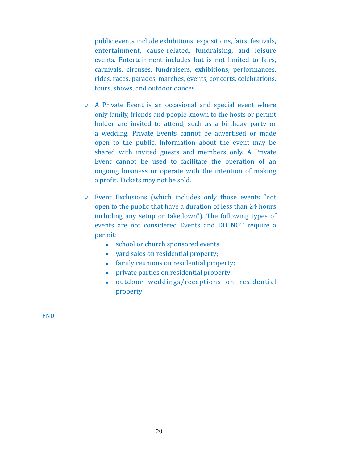public events include exhibitions, expositions, fairs, festivals, entertainment, cause-related, fundraising, and leisure events. Entertainment includes but is not limited to fairs, carnivals, circuses, fundraisers, exhibitions, performances, rides, races, parades, marches, events, concerts, celebrations, tours, shows, and outdoor dances.

- $\circ$  A Private Event is an occasional and special event where only family, friends and people known to the hosts or permit holder are invited to attend, such as a birthday party or a wedding. Private Events cannot be advertised or made open to the public. Information about the event may be shared with invited guests and members only. A Private Event cannot be used to facilitate the operation of an ongoing business or operate with the intention of making a profit. Tickets may not be sold.
- $\circ$  Event Exclusions (which includes only those events "not open to the public that have a duration of less than 24 hours including any setup or takedown"). The following types of events are not considered Events and DO NOT require a permit:
	- school or church sponsored events
	- yard sales on residential property;
	- **•** family reunions on residential property;
	- **•** private parties on residential property;
	- outdoor weddings/receptions on residential property

END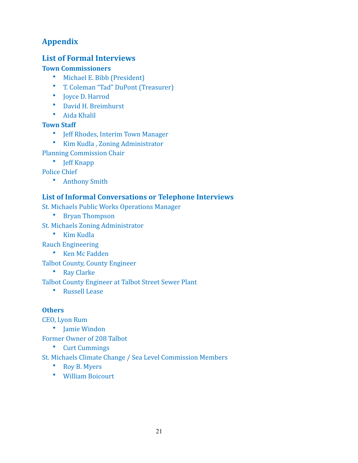# **Appendix**

# **List of Formal Interviews**

### **Town Commissioners**

- Michael E. Bibb (President)
- T. Coleman "Tad" DuPont (Treasurer)
- Joyce D. Harrod
- David H. Breimhurst
- Aida Khalil

### **Town Staff**

- Jeff Rhodes, Interim Town Manager
- Kim Kudla, Zoning Administrator
- Planning Commission Chair
	- Jeff Knapp

Police Chief

• Anthony Smith

## **List of Informal Conversations or Telephone Interviews**

St. Michaels Public Works Operations Manager

- Bryan Thompson
- St. Michaels Zoning Administrator
	- Kim Kudla

Rauch Engineering

• Ken Mc Fadden 

Talbot County, County Engineer

• Ray Clarke

Talbot County Engineer at Talbot Street Sewer Plant

• Russell Lease

### **Others**

CEO, Lyon Rum

• Iamie Windon

Former Owner of 208 Talbot

• Curt Cummings

St. Michaels Climate Change / Sea Level Commission Members

- Roy B. Myers
- William Boicourt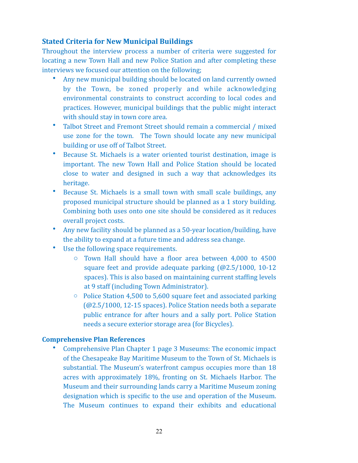### **Stated Criteria for New Municipal Buildings**

Throughout the interview process a number of criteria were suggested for locating a new Town Hall and new Police Station and after completing these interviews we focused our attention on the following;

- Any new municipal building should be located on land currently owned by the Town, be zoned properly and while acknowledging environmental constraints to construct according to local codes and practices. However, municipal buildings that the public might interact with should stay in town core area.
- Talbot Street and Fremont Street should remain a commercial / mixed use zone for the town. The Town should locate any new municipal building or use off of Talbot Street.
- Because St. Michaels is a water oriented tourist destination, image is important. The new Town Hall and Police Station should be located close to water and designed in such a way that acknowledges its heritage.
- Because St. Michaels is a small town with small scale buildings, any proposed municipal structure should be planned as a 1 story building. Combining both uses onto one site should be considered as it reduces overall project costs.
- Any new facility should be planned as a 50-year location/building, have the ability to expand at a future time and address sea change.
- Use the following space requirements.
	- $\circ$  Town Hall should have a floor area between 4,000 to 4500 square feet and provide adequate parking  $(Q2.5/1000, 10-12)$ spaces). This is also based on maintaining current staffing levels at 9 staff (including Town Administrator).
	- $\circ$  Police Station 4,500 to 5,600 square feet and associated parking  $(@2.5/1000, 12-15$  spaces). Police Station needs both a separate public entrance for after hours and a sally port. Police Station needs a secure exterior storage area (for Bicycles).

#### **Comprehensive Plan References**

Comprehensive Plan Chapter 1 page 3 Museums: The economic impact of the Chesapeake Bay Maritime Museum to the Town of St. Michaels is substantial. The Museum's waterfront campus occupies more than 18 acres with approximately 18%, fronting on St. Michaels Harbor. The Museum and their surrounding lands carry a Maritime Museum zoning designation which is specific to the use and operation of the Museum. The Museum continues to expand their exhibits and educational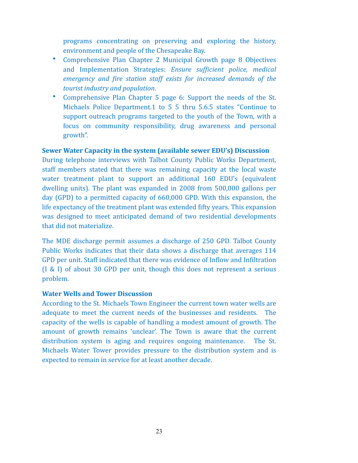programs concentrating on preserving and exploring the history, environment and people of the Chesapeake Bay.

- Comprehensive Plan Chapter 2 Municipal Growth page 8 Objectives and Implementation Strategies: *Ensure sufficient police, medical emergency* and fire station staff exists for increased demands of the *tourist industry and population.*
- Comprehensive Plan Chapter 5 page 6: Support the needs of the St. Michaels Police Department.1 to 5 5 thru 5.6.5 states "Continue to support outreach programs targeted to the youth of the Town, with a focus on community responsibility, drug awareness and personal growth".

#### **Sewer Water Capacity in the system (available sewer EDU's) Discussion**

During telephone interviews with Talbot County Public Works Department, staff members stated that there was remaining capacity at the local waste water treatment plant to support an additional 160 EDU's (equivalent dwelling units). The plant was expanded in 2008 from 500,000 gallons per day  $(GPD)$  to a permitted capacity of  $660,000$  GPD. With this expansion, the life expectancy of the treatment plant was extended fifty years. This expansion was designed to meet anticipated demand of two residential developments that did not materialize.

The MDE discharge permit assumes a discharge of 250 GPD. Talbot County Public Works indicates that their data shows a discharge that averages 114 GPD per unit. Staff indicated that there was evidence of Inflow and Infiltration  $(1 \& 1)$  of about 30 GPD per unit, though this does not represent a serious problem. 

#### **Water Wells and Tower Discussion**

According to the St. Michaels Town Engineer the current town water wells are adequate to meet the current needs of the businesses and residents. The capacity of the wells is capable of handling a modest amount of growth. The amount of growth remains 'unclear'. The Town is aware that the current distribution system is aging and requires ongoing maintenance. The St. Michaels Water Tower provides pressure to the distribution system and is expected to remain in service for at least another decade.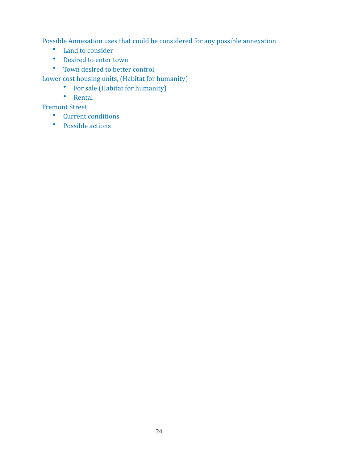Possible Annexation uses that could be considered for any possible annexation

- Land to consider
- Desired to enter town
- Town desired to better control

Lower cost housing units, (Habitat for humanity)

- For sale (Habitat for humanity)
- Rental

**Fremont Street** 

- Current conditions
- Possible actions